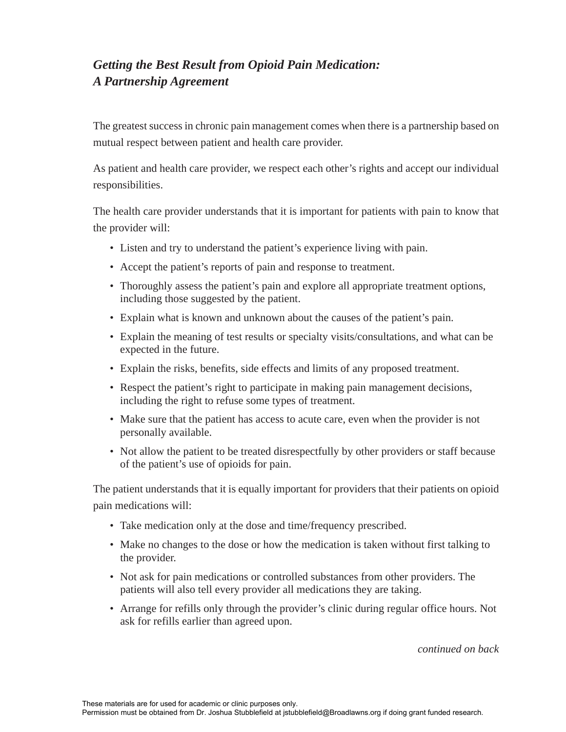## *Getting the Best Result from Opioid Pain Medication: A Partnership Agreement*

The greatest success in chronic pain management comes when there is a partnership based on mutual respect between patient and health care provider.

As patient and health care provider, we respect each other's rights and accept our individual responsibilities.

The health care provider understands that it is important for patients with pain to know that the provider will:

- •Listen and try to understand the patient's experience living with pain.
- •Accept the patient's reports of pain and response to treatment.
- •Thoroughly assess the patient's pain and explore all appropriate treatment options, including those suggested by the patient.
- •Explain what is known and unknown about the causes of the patient's pain.
- •Explain the meaning of test results or specialty visits/consultations, and what can be expected in the future.
- •Explain the risks, benefits, side effects and limits of any proposed treatment.
- •Respect the patient's right to participate in making pain management decisions, including the right to refuse some types of treatment.
- Make sure that the patient has access to acute care, even when the provider is not personally available.
- Not allow the patient to be treated disrespectfully by other providers or staff because of the patient's use of opioids for pain.

The patient understands that it is equally important for providers that their patients on opioid pain medications will:

- •Take medication only at the dose and time/frequency prescribed.
- Make no changes to the dose or how the medication is taken without first talking to the provider.
- Not ask for pain medications or controlled substances from other providers. The patients will also tell every provider all medications they are taking.
- •Arrange for refills only through the provider's clinic during regular office hours. Not ask for refills earlier than agreed upon.

*continued on back*